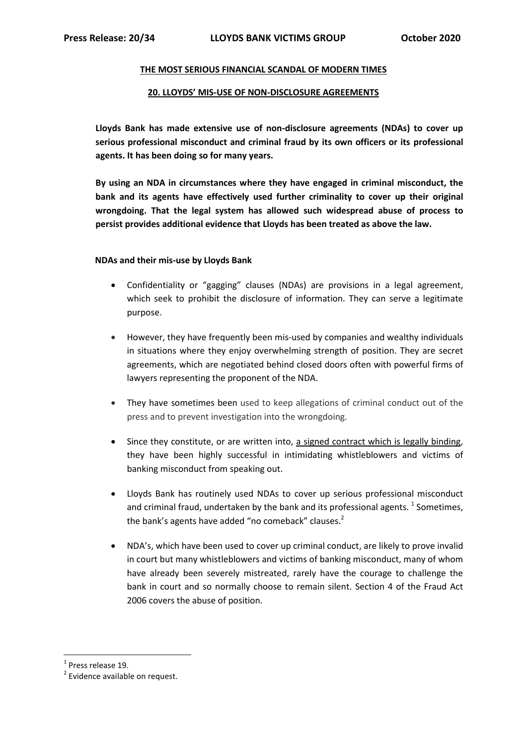### **THE MOST SERIOUS FINANCIAL SCANDAL OF MODERN TIMES**

### **20. LLOYDS' MIS-USE OF NON-DISCLOSURE AGREEMENTS**

**Lloyds Bank has made extensive use of non-disclosure agreements (NDAs) to cover up serious professional misconduct and criminal fraud by its own officers or its professional agents. It has been doing so for many years.**

**By using an NDA in circumstances where they have engaged in criminal misconduct, the bank and its agents have effectively used further criminality to cover up their original wrongdoing. That the legal system has allowed such widespread abuse of process to persist provides additional evidence that Lloyds has been treated as above the law.** 

## **NDAs and their mis-use by Lloyds Bank**

- Confidentiality or "gagging" clauses (NDAs) are provisions in a legal agreement, which seek to prohibit the disclosure of information. They can serve a legitimate purpose.
- However, they have frequently been mis-used by companies and wealthy individuals in situations where they enjoy overwhelming strength of position. They are secret agreements, which are negotiated behind closed doors often with powerful firms of lawyers representing the proponent of the NDA.
- They have sometimes been used to keep allegations of criminal conduct out of the press and to prevent investigation into the wrongdoing.
- Since they constitute, or are written into, a signed contract which is legally binding, they have been highly successful in intimidating whistleblowers and victims of banking misconduct from speaking out.
- Lloyds Bank has routinely used NDAs to cover up serious professional misconduct and criminal fraud, undertaken by the bank and its professional agents.  $^{1}$  Sometimes, the bank's agents have added "no comeback" clauses. $2$
- NDA's, which have been used to cover up criminal conduct, are likely to prove invalid in court but many whistleblowers and victims of banking misconduct, many of whom have already been severely mistreated, rarely have the courage to challenge the bank in court and so normally choose to remain silent. Section 4 of the Fraud Act 2006 covers the abuse of position.

1

<sup>&</sup>lt;sup>1</sup> Press release 19.

<sup>&</sup>lt;sup>2</sup> Evidence available on request.